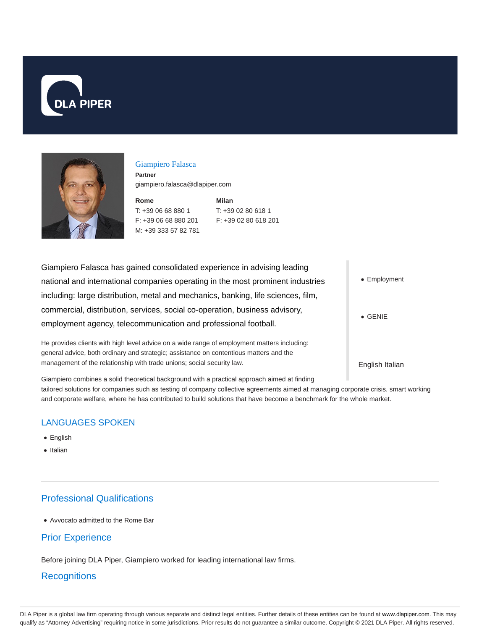



#### Giampiero Falasca

**Partner** giampiero.falasca@dlapiper.com

**Rome** T: +39 06 68 880 1 F: +39 06 68 880 201 M: +39 333 57 82 781 **Milan** T: +39 02 80 618 1 F: +39 02 80 618 201

| Giampiero Falasca has gained consolidated experience in advising leading                    |                 |
|---------------------------------------------------------------------------------------------|-----------------|
| national and international companies operating in the most prominent industries             | • Employment    |
| including: large distribution, metal and mechanics, banking, life sciences, film,           |                 |
| commercial, distribution, services, social co-operation, business advisory,                 | $\bullet$ GENIE |
| employment agency, telecommunication and professional football.                             |                 |
| He provides clients with high level advice on a wide range of employment matters including: |                 |

general advice, both ordinary and strategic; assistance on contentious matters and the management of the relationship with trade unions; social security law.

English Italian

Giampiero combines a solid theoretical background with a practical approach aimed at finding tailored solutions for companies such as testing of company collective agreements aimed at managing corporate crisis, smart working and corporate welfare, where he has contributed to build solutions that have become a benchmark for the whole market.

# LANGUAGES SPOKEN

- English
- Italian

# Professional Qualifications

Avvocato admitted to the Rome Bar

## Prior Experience

Before joining DLA Piper, Giampiero worked for leading international law firms.

#### **Recognitions**

DLA Piper is a global law firm operating through various separate and distinct legal entities. Further details of these entities can be found at www.dlapiper.com. This may qualify as "Attorney Advertising" requiring notice in some jurisdictions. Prior results do not guarantee a similar outcome. Copyright © 2021 DLA Piper. All rights reserved.